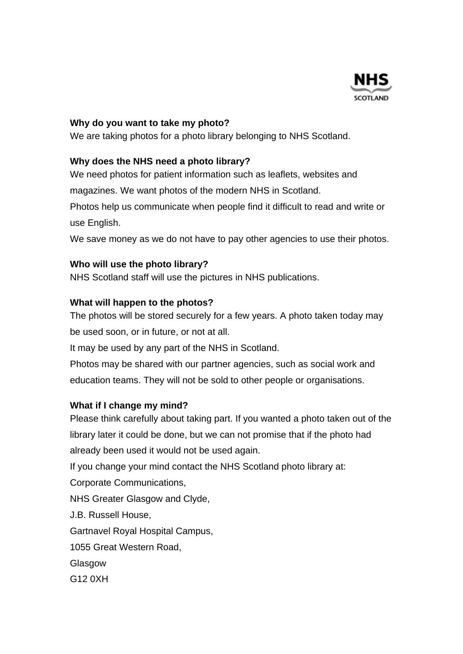

#### **Why do you want to take my photo?**

We are taking photos for a photo library belonging to NHS Scotland.

## **Why does the NHS need a photo library?**

We need photos for patient information such as leaflets, websites and

magazines. We want photos of the modern NHS in Scotland.

Photos help us communicate when people find it difficult to read and write or use English.

We save money as we do not have to pay other agencies to use their photos.

### **Who will use the photo library?**

NHS Scotland staff will use the pictures in NHS publications.

### **What will happen to the photos?**

The photos will be stored securely for a few years. A photo taken today may be used soon, or in future, or not at all.

It may be used by any part of the NHS in Scotland.

Photos may be shared with our partner agencies, such as social work and education teams. They will not be sold to other people or organisations.

## **What if I change my mind?**

Please think carefully about taking part. If you wanted a photo taken out of the library later it could be done, but we can not promise that if the photo had already been used it would not be used again.

If you change your mind contact the NHS Scotland photo library at:

Corporate Communications,

NHS Greater Glasgow and Clyde,

J.B. Russell House,

Gartnavel Royal Hospital Campus,

1055 Great Western Road,

Glasgow

G12 0XH